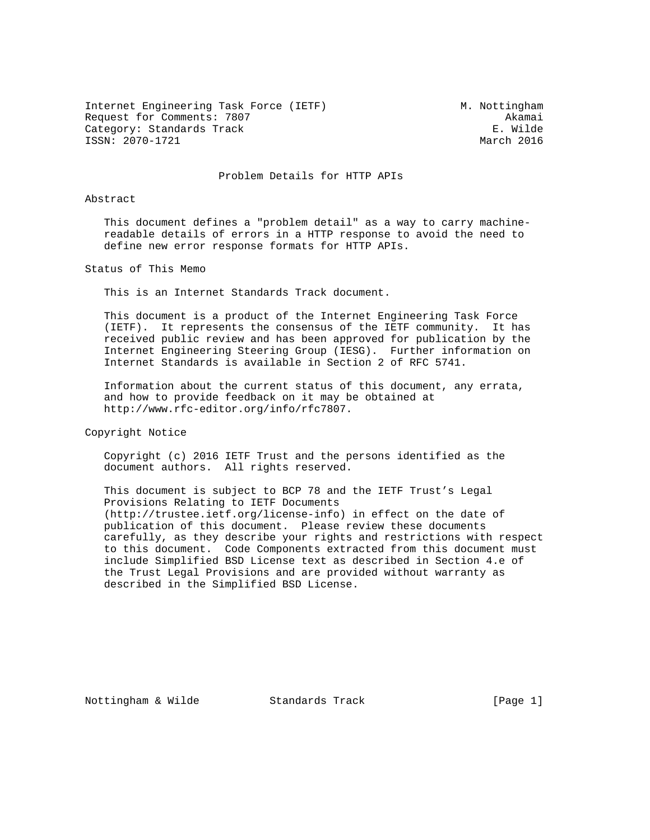Internet Engineering Task Force (IETF) M. Nottingham Request for Comments: 7807<br>Category: Standards Track Category: E. Wilde Category: Standards Track E. Wilde<br>
ISSN: 2070-1721<br>
March 2016 ISSN: 2070-1721

#### Problem Details for HTTP APIs

#### Abstract

 This document defines a "problem detail" as a way to carry machine readable details of errors in a HTTP response to avoid the need to define new error response formats for HTTP APIs.

Status of This Memo

This is an Internet Standards Track document.

 This document is a product of the Internet Engineering Task Force (IETF). It represents the consensus of the IETF community. It has received public review and has been approved for publication by the Internet Engineering Steering Group (IESG). Further information on Internet Standards is available in Section 2 of RFC 5741.

 Information about the current status of this document, any errata, and how to provide feedback on it may be obtained at http://www.rfc-editor.org/info/rfc7807.

Copyright Notice

 Copyright (c) 2016 IETF Trust and the persons identified as the document authors. All rights reserved.

 This document is subject to BCP 78 and the IETF Trust's Legal Provisions Relating to IETF Documents (http://trustee.ietf.org/license-info) in effect on the date of publication of this document. Please review these documents carefully, as they describe your rights and restrictions with respect to this document. Code Components extracted from this document must include Simplified BSD License text as described in Section 4.e of the Trust Legal Provisions and are provided without warranty as described in the Simplified BSD License.

Nottingham & Wilde Standards Track [Page 1]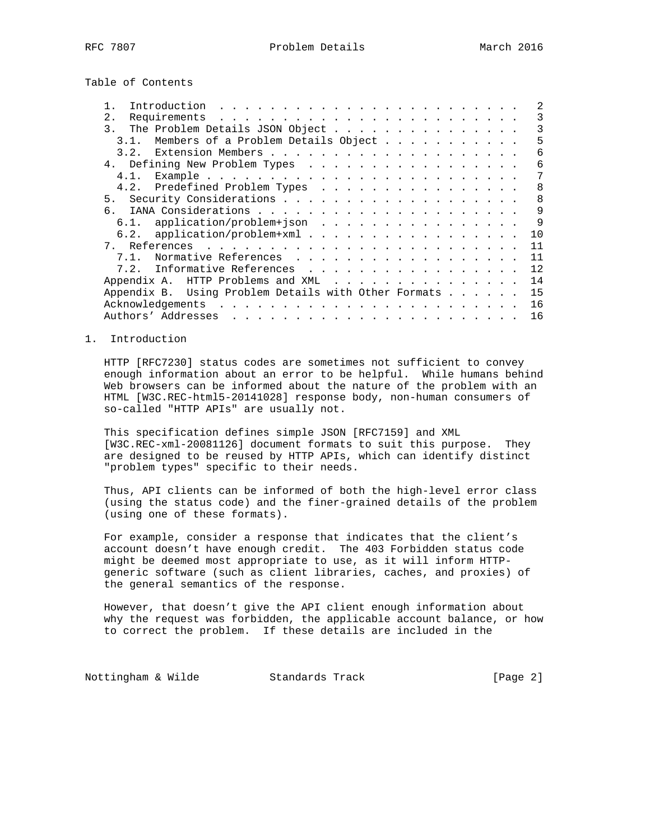Table of Contents

|               |      | Introduction                                         |  |  |  |              |
|---------------|------|------------------------------------------------------|--|--|--|--------------|
| 2.            |      |                                                      |  |  |  | 3            |
| $\mathcal{E}$ |      | The Problem Details JSON Object                      |  |  |  | ζ            |
|               | 3.1. | Members of a Problem Details Object                  |  |  |  | 5            |
|               | 3.2. |                                                      |  |  |  | 6            |
|               |      | 4. Defining New Problem Types                        |  |  |  | 6            |
|               |      |                                                      |  |  |  | 7            |
|               |      | 4.2. Predefined Problem Types                        |  |  |  | 8            |
| 5.            |      |                                                      |  |  |  | $\mathsf{B}$ |
| რ —           |      |                                                      |  |  |  | 9            |
|               |      | 6.1. application/problem+json                        |  |  |  | $\mathsf{Q}$ |
|               |      | 6.2. application/problem+xml                         |  |  |  | 10           |
| 7.            |      |                                                      |  |  |  | 11           |
|               | 7.1. | Normative References                                 |  |  |  | 11           |
|               |      | 7.2. Informative References                          |  |  |  | 12           |
|               |      | Appendix A. HTTP Problems and XML                    |  |  |  | 14           |
|               |      | Appendix B. Using Problem Details with Other Formats |  |  |  | 15           |
|               |      |                                                      |  |  |  | 16           |
|               |      |                                                      |  |  |  | 16           |
|               |      |                                                      |  |  |  |              |

### 1. Introduction

 HTTP [RFC7230] status codes are sometimes not sufficient to convey enough information about an error to be helpful. While humans behind Web browsers can be informed about the nature of the problem with an HTML [W3C.REC-html5-20141028] response body, non-human consumers of so-called "HTTP APIs" are usually not.

 This specification defines simple JSON [RFC7159] and XML [W3C.REC-xml-20081126] document formats to suit this purpose. They are designed to be reused by HTTP APIs, which can identify distinct "problem types" specific to their needs.

 Thus, API clients can be informed of both the high-level error class (using the status code) and the finer-grained details of the problem (using one of these formats).

 For example, consider a response that indicates that the client's account doesn't have enough credit. The 403 Forbidden status code might be deemed most appropriate to use, as it will inform HTTP generic software (such as client libraries, caches, and proxies) of the general semantics of the response.

 However, that doesn't give the API client enough information about why the request was forbidden, the applicable account balance, or how to correct the problem. If these details are included in the

Nottingham & Wilde Standards Track [Page 2]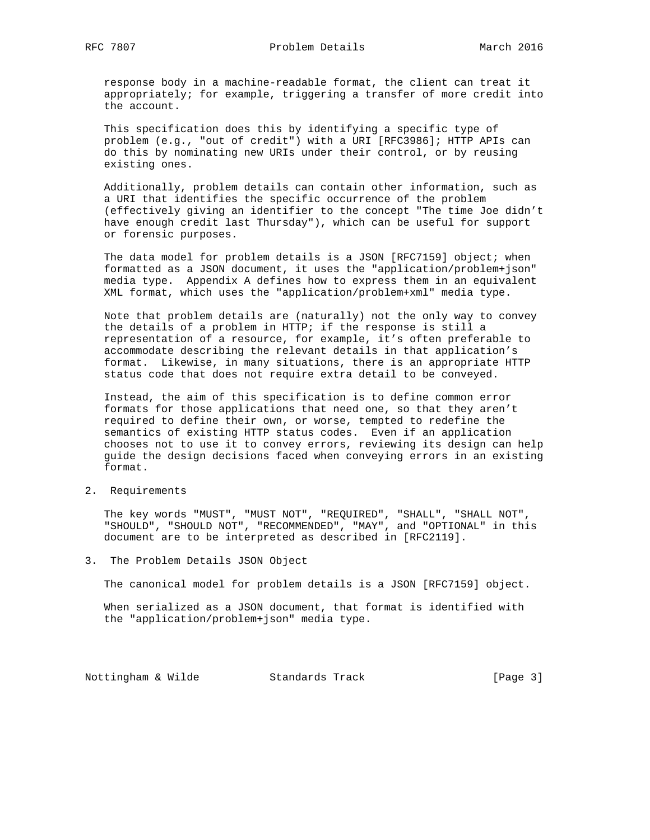response body in a machine-readable format, the client can treat it appropriately; for example, triggering a transfer of more credit into the account.

 This specification does this by identifying a specific type of problem (e.g., "out of credit") with a URI [RFC3986]; HTTP APIs can do this by nominating new URIs under their control, or by reusing existing ones.

 Additionally, problem details can contain other information, such as a URI that identifies the specific occurrence of the problem (effectively giving an identifier to the concept "The time Joe didn't have enough credit last Thursday"), which can be useful for support or forensic purposes.

The data model for problem details is a JSON [RFC7159] object; when formatted as a JSON document, it uses the "application/problem+json" media type. Appendix A defines how to express them in an equivalent XML format, which uses the "application/problem+xml" media type.

 Note that problem details are (naturally) not the only way to convey the details of a problem in HTTP; if the response is still a representation of a resource, for example, it's often preferable to accommodate describing the relevant details in that application's format. Likewise, in many situations, there is an appropriate HTTP status code that does not require extra detail to be conveyed.

 Instead, the aim of this specification is to define common error formats for those applications that need one, so that they aren't required to define their own, or worse, tempted to redefine the semantics of existing HTTP status codes. Even if an application chooses not to use it to convey errors, reviewing its design can help guide the design decisions faced when conveying errors in an existing format.

2. Requirements

 The key words "MUST", "MUST NOT", "REQUIRED", "SHALL", "SHALL NOT", "SHOULD", "SHOULD NOT", "RECOMMENDED", "MAY", and "OPTIONAL" in this document are to be interpreted as described in [RFC2119].

3. The Problem Details JSON Object

The canonical model for problem details is a JSON [RFC7159] object.

 When serialized as a JSON document, that format is identified with the "application/problem+json" media type.

Nottingham & Wilde Standards Track [Page 3]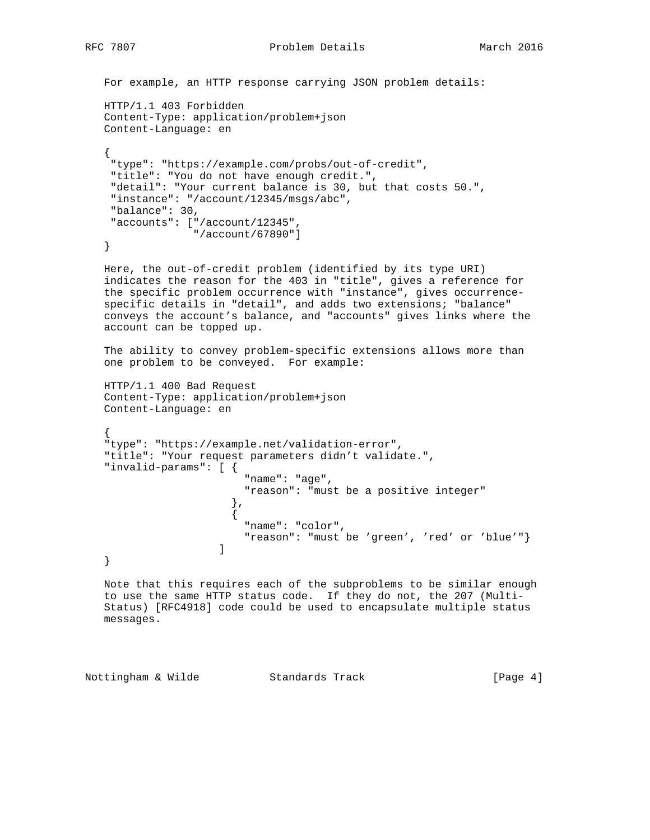```
 For example, an HTTP response carrying JSON problem details:
```

```
 HTTP/1.1 403 Forbidden
     Content-Type: application/problem+json
     Content-Language: en
\{ \cdot \cdot \cdot \cdot \cdot \cdot \cdot \cdot \cdot \cdot \cdot \cdot \cdot \cdot \cdot \cdot \cdot \cdot \cdot \cdot \cdot \cdot \cdot \cdot \cdot \cdot \cdot \cdot \cdot \cdot \cdot \cdot \cdot \cdot \cdot \cdot 
       "type": "https://example.com/probs/out-of-credit",
       "title": "You do not have enough credit.",
       "detail": "Your current balance is 30, but that costs 50.",
       "instance": "/account/12345/msgs/abc",
       "balance": 30,
       "accounts": ["/account/12345",
                           "/account/67890"]
     }
```
 Here, the out-of-credit problem (identified by its type URI) indicates the reason for the 403 in "title", gives a reference for the specific problem occurrence with "instance", gives occurrence specific details in "detail", and adds two extensions; "balance" conveys the account's balance, and "accounts" gives links where the account can be topped up.

 The ability to convey problem-specific extensions allows more than one problem to be conveyed. For example:

```
 HTTP/1.1 400 Bad Request
 Content-Type: application/problem+json
 Content-Language: en
```

```
 {
    "type": "https://example.net/validation-error",
    "title": "Your request parameters didn't validate.",
    "invalid-params": [ {
                               "name": "age",
                               "reason": "must be a positive integer"
\},
\{ "name": "color",
                              "reason": "must be 'green', 'red' or 'blue'"}
design to the control of the control of the control of the control of the control of the control of the control of
    }
```
 Note that this requires each of the subproblems to be similar enough to use the same HTTP status code. If they do not, the 207 (Multi- Status) [RFC4918] code could be used to encapsulate multiple status messages.

Nottingham & Wilde Standards Track [Page 4]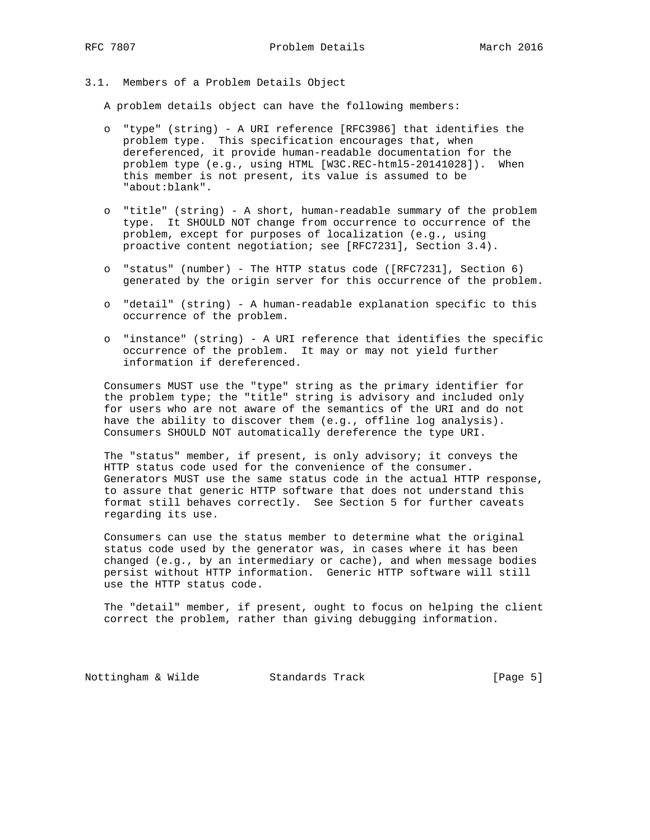#### 3.1. Members of a Problem Details Object

A problem details object can have the following members:

- o "type" (string) A URI reference [RFC3986] that identifies the problem type. This specification encourages that, when dereferenced, it provide human-readable documentation for the problem type (e.g., using HTML [W3C.REC-html5-20141028]). When this member is not present, its value is assumed to be "about:blank".
- o "title" (string) A short, human-readable summary of the problem type. It SHOULD NOT change from occurrence to occurrence of the problem, except for purposes of localization (e.g., using proactive content negotiation; see [RFC7231], Section 3.4).
- o "status" (number) The HTTP status code ([RFC7231], Section 6) generated by the origin server for this occurrence of the problem.
- o "detail" (string) A human-readable explanation specific to this occurrence of the problem.
- o "instance" (string) A URI reference that identifies the specific occurrence of the problem. It may or may not yield further information if dereferenced.

 Consumers MUST use the "type" string as the primary identifier for the problem type; the "title" string is advisory and included only for users who are not aware of the semantics of the URI and do not have the ability to discover them (e.g., offline log analysis). Consumers SHOULD NOT automatically dereference the type URI.

 The "status" member, if present, is only advisory; it conveys the HTTP status code used for the convenience of the consumer. Generators MUST use the same status code in the actual HTTP response, to assure that generic HTTP software that does not understand this format still behaves correctly. See Section 5 for further caveats regarding its use.

 Consumers can use the status member to determine what the original status code used by the generator was, in cases where it has been changed (e.g., by an intermediary or cache), and when message bodies persist without HTTP information. Generic HTTP software will still use the HTTP status code.

 The "detail" member, if present, ought to focus on helping the client correct the problem, rather than giving debugging information.

Nottingham & Wilde Standards Track [Page 5]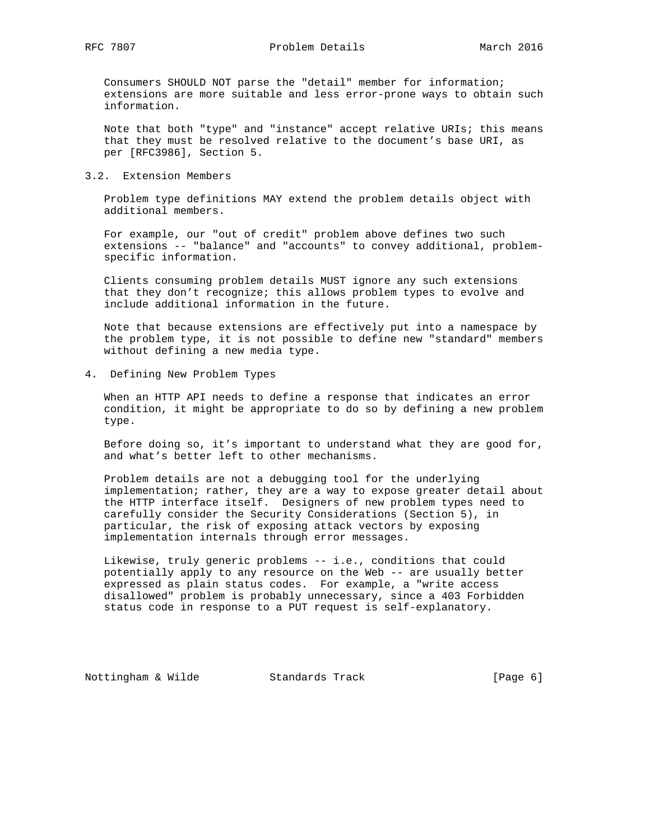RFC 7807 **Problem Details** March 2016

 Consumers SHOULD NOT parse the "detail" member for information; extensions are more suitable and less error-prone ways to obtain such information.

 Note that both "type" and "instance" accept relative URIs; this means that they must be resolved relative to the document's base URI, as per [RFC3986], Section 5.

#### 3.2. Extension Members

 Problem type definitions MAY extend the problem details object with additional members.

 For example, our "out of credit" problem above defines two such extensions -- "balance" and "accounts" to convey additional, problem specific information.

 Clients consuming problem details MUST ignore any such extensions that they don't recognize; this allows problem types to evolve and include additional information in the future.

 Note that because extensions are effectively put into a namespace by the problem type, it is not possible to define new "standard" members without defining a new media type.

4. Defining New Problem Types

 When an HTTP API needs to define a response that indicates an error condition, it might be appropriate to do so by defining a new problem type.

 Before doing so, it's important to understand what they are good for, and what's better left to other mechanisms.

 Problem details are not a debugging tool for the underlying implementation; rather, they are a way to expose greater detail about the HTTP interface itself. Designers of new problem types need to carefully consider the Security Considerations (Section 5), in particular, the risk of exposing attack vectors by exposing implementation internals through error messages.

 Likewise, truly generic problems -- i.e., conditions that could potentially apply to any resource on the Web -- are usually better expressed as plain status codes. For example, a "write access disallowed" problem is probably unnecessary, since a 403 Forbidden status code in response to a PUT request is self-explanatory.

Nottingham & Wilde Standards Track [Page 6]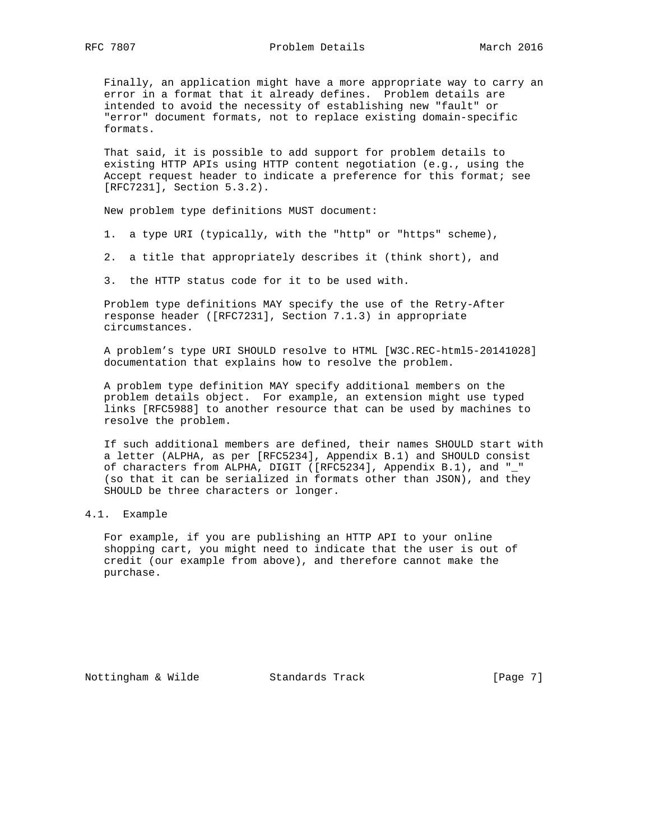Finally, an application might have a more appropriate way to carry an error in a format that it already defines. Problem details are intended to avoid the necessity of establishing new "fault" or "error" document formats, not to replace existing domain-specific formats.

 That said, it is possible to add support for problem details to existing HTTP APIs using HTTP content negotiation (e.g., using the Accept request header to indicate a preference for this format; see [RFC7231], Section 5.3.2).

New problem type definitions MUST document:

- 1. a type URI (typically, with the "http" or "https" scheme),
- 2. a title that appropriately describes it (think short), and
- 3. the HTTP status code for it to be used with.

 Problem type definitions MAY specify the use of the Retry-After response header ([RFC7231], Section 7.1.3) in appropriate circumstances.

 A problem's type URI SHOULD resolve to HTML [W3C.REC-html5-20141028] documentation that explains how to resolve the problem.

 A problem type definition MAY specify additional members on the problem details object. For example, an extension might use typed links [RFC5988] to another resource that can be used by machines to resolve the problem.

 If such additional members are defined, their names SHOULD start with a letter (ALPHA, as per [RFC5234], Appendix B.1) and SHOULD consist of characters from ALPHA, DIGIT ([RFC5234], Appendix B.1), and "\_" (so that it can be serialized in formats other than JSON), and they SHOULD be three characters or longer.

# 4.1. Example

 For example, if you are publishing an HTTP API to your online shopping cart, you might need to indicate that the user is out of credit (our example from above), and therefore cannot make the purchase.

Nottingham & Wilde Standards Track [Page 7]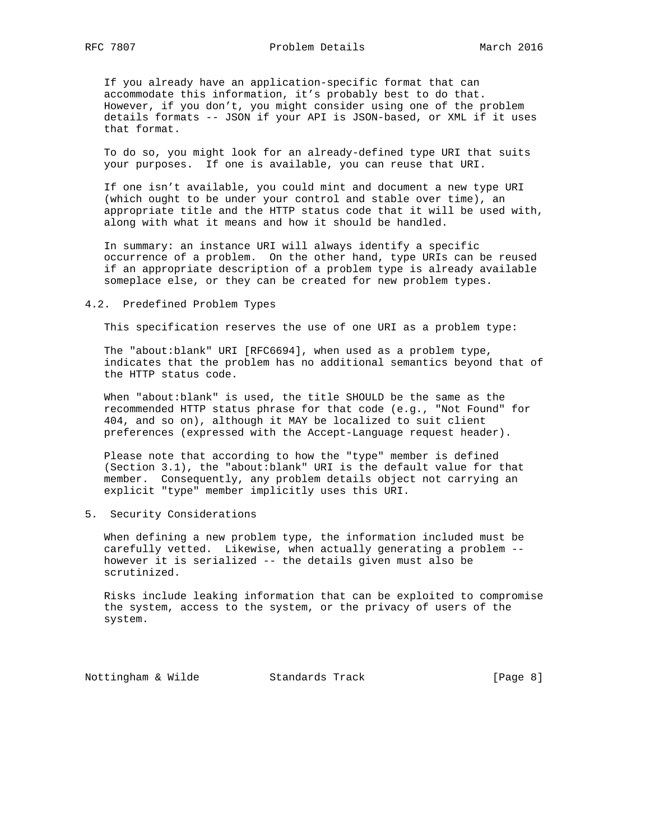If you already have an application-specific format that can accommodate this information, it's probably best to do that. However, if you don't, you might consider using one of the problem details formats -- JSON if your API is JSON-based, or XML if it uses that format.

 To do so, you might look for an already-defined type URI that suits your purposes. If one is available, you can reuse that URI.

 If one isn't available, you could mint and document a new type URI (which ought to be under your control and stable over time), an appropriate title and the HTTP status code that it will be used with, along with what it means and how it should be handled.

 In summary: an instance URI will always identify a specific occurrence of a problem. On the other hand, type URIs can be reused if an appropriate description of a problem type is already available someplace else, or they can be created for new problem types.

#### 4.2. Predefined Problem Types

This specification reserves the use of one URI as a problem type:

 The "about:blank" URI [RFC6694], when used as a problem type, indicates that the problem has no additional semantics beyond that of the HTTP status code.

 When "about:blank" is used, the title SHOULD be the same as the recommended HTTP status phrase for that code (e.g., "Not Found" for 404, and so on), although it MAY be localized to suit client preferences (expressed with the Accept-Language request header).

 Please note that according to how the "type" member is defined (Section 3.1), the "about:blank" URI is the default value for that member. Consequently, any problem details object not carrying an explicit "type" member implicitly uses this URI.

5. Security Considerations

 When defining a new problem type, the information included must be carefully vetted. Likewise, when actually generating a problem - however it is serialized -- the details given must also be scrutinized.

 Risks include leaking information that can be exploited to compromise the system, access to the system, or the privacy of users of the system.

Nottingham & Wilde Standards Track [Page 8]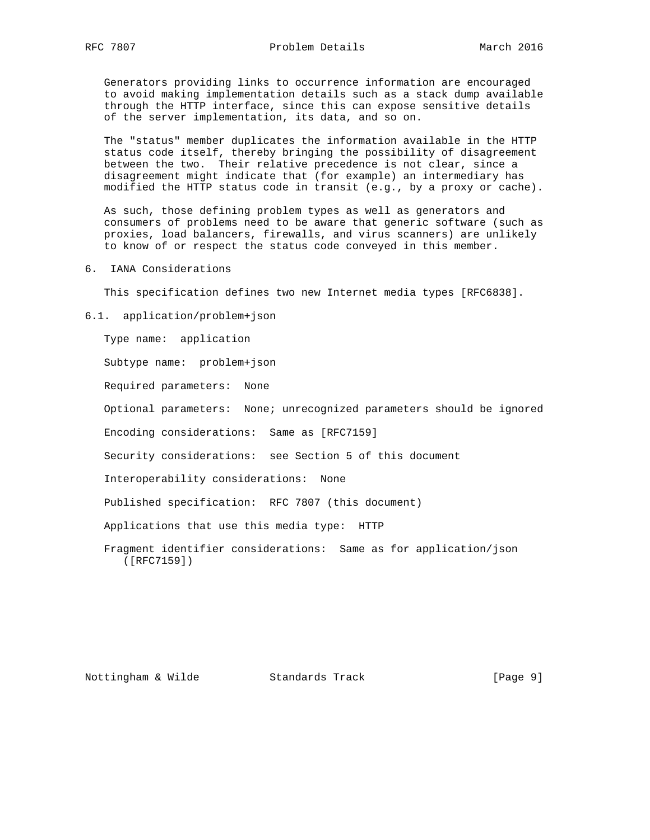Generators providing links to occurrence information are encouraged to avoid making implementation details such as a stack dump available through the HTTP interface, since this can expose sensitive details of the server implementation, its data, and so on.

 The "status" member duplicates the information available in the HTTP status code itself, thereby bringing the possibility of disagreement between the two. Their relative precedence is not clear, since a disagreement might indicate that (for example) an intermediary has modified the HTTP status code in transit (e.g., by a proxy or cache).

 As such, those defining problem types as well as generators and consumers of problems need to be aware that generic software (such as proxies, load balancers, firewalls, and virus scanners) are unlikely to know of or respect the status code conveyed in this member.

6. IANA Considerations

This specification defines two new Internet media types [RFC6838].

6.1. application/problem+json

Type name: application

Subtype name: problem+json

Required parameters: None

Optional parameters: None; unrecognized parameters should be ignored

Encoding considerations: Same as [RFC7159]

Security considerations: see Section 5 of this document

Interoperability considerations: None

Published specification: RFC 7807 (this document)

Applications that use this media type: HTTP

 Fragment identifier considerations: Same as for application/json ([RFC7159])

Nottingham & Wilde Standards Track [Page 9]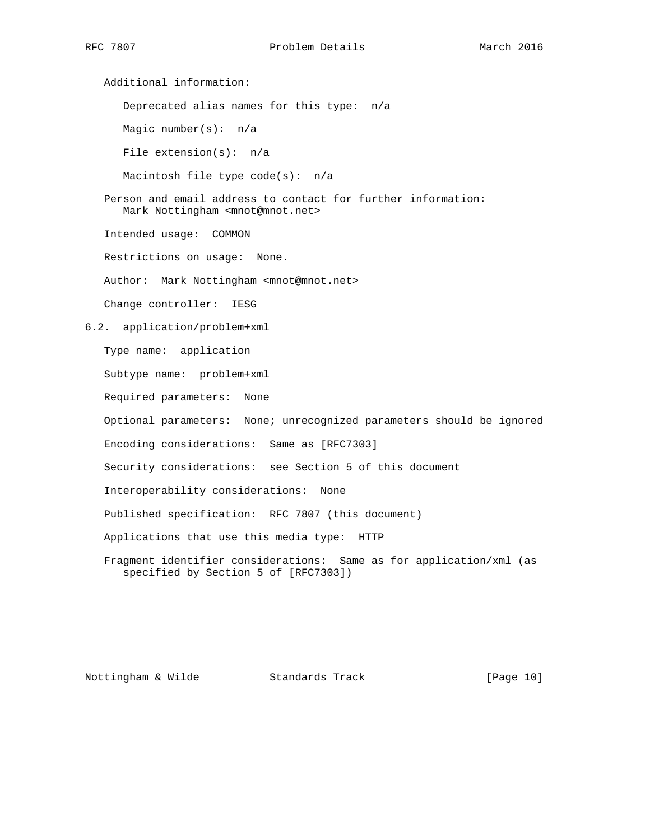Additional information: Deprecated alias names for this type: n/a Magic number(s): n/a File extension(s): n/a Macintosh file type code(s): n/a Person and email address to contact for further information: Mark Nottingham <mnot@mnot.net> Intended usage: COMMON Restrictions on usage: None. Author: Mark Nottingham <mnot@mnot.net> Change controller: IESG 6.2. application/problem+xml Type name: application Subtype name: problem+xml Required parameters: None Optional parameters: None; unrecognized parameters should be ignored Encoding considerations: Same as [RFC7303] Security considerations: see Section 5 of this document Interoperability considerations: None Published specification: RFC 7807 (this document) Applications that use this media type: HTTP Fragment identifier considerations: Same as for application/xml (as specified by Section 5 of [RFC7303])

Nottingham & Wilde Standards Track [Page 10]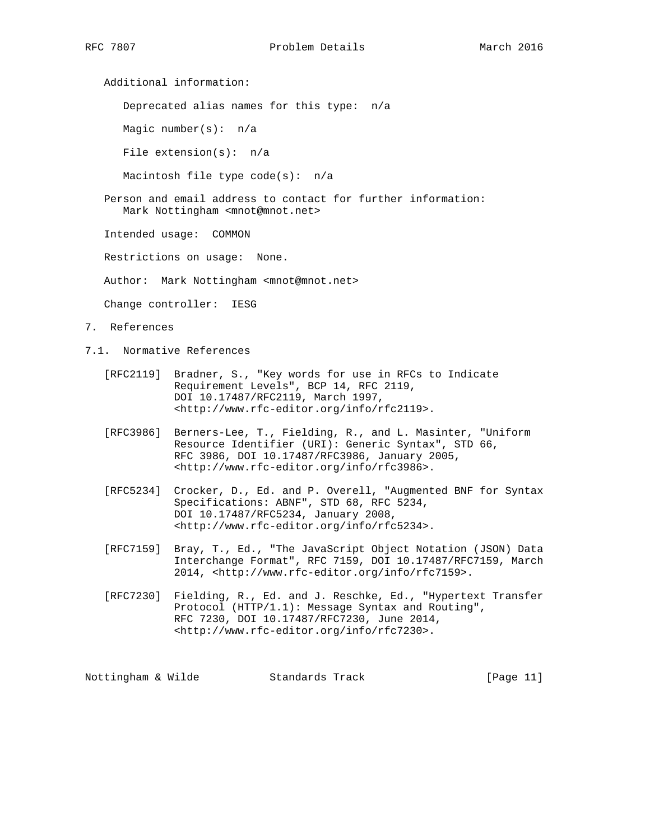Additional information:

Deprecated alias names for this type: n/a

Magic number(s): n/a

File extension(s): n/a

Macintosh file type code(s): n/a

 Person and email address to contact for further information: Mark Nottingham <mnot@mnot.net>

Intended usage: COMMON

Restrictions on usage: None.

Author: Mark Nottingham <mnot@mnot.net>

Change controller: IESG

- 7. References
- 7.1. Normative References
	- [RFC2119] Bradner, S., "Key words for use in RFCs to Indicate Requirement Levels", BCP 14, RFC 2119, DOI 10.17487/RFC2119, March 1997, <http://www.rfc-editor.org/info/rfc2119>.
	- [RFC3986] Berners-Lee, T., Fielding, R., and L. Masinter, "Uniform Resource Identifier (URI): Generic Syntax", STD 66, RFC 3986, DOI 10.17487/RFC3986, January 2005, <http://www.rfc-editor.org/info/rfc3986>.
- [RFC5234] Crocker, D., Ed. and P. Overell, "Augmented BNF for Syntax Specifications: ABNF", STD 68, RFC 5234, DOI 10.17487/RFC5234, January 2008, <http://www.rfc-editor.org/info/rfc5234>.
	- [RFC7159] Bray, T., Ed., "The JavaScript Object Notation (JSON) Data Interchange Format", RFC 7159, DOI 10.17487/RFC7159, March 2014, <http://www.rfc-editor.org/info/rfc7159>.
	- [RFC7230] Fielding, R., Ed. and J. Reschke, Ed., "Hypertext Transfer Protocol (HTTP/1.1): Message Syntax and Routing", RFC 7230, DOI 10.17487/RFC7230, June 2014, <http://www.rfc-editor.org/info/rfc7230>.

Nottingham & Wilde Standards Track [Page 11]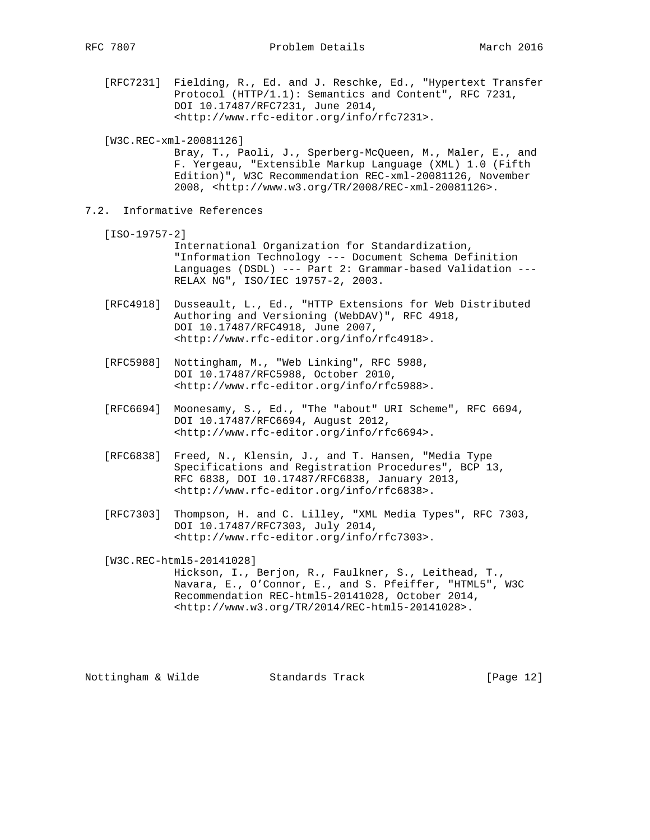[RFC7231] Fielding, R., Ed. and J. Reschke, Ed., "Hypertext Transfer Protocol (HTTP/1.1): Semantics and Content", RFC 7231, DOI 10.17487/RFC7231, June 2014, <http://www.rfc-editor.org/info/rfc7231>.

[W3C.REC-xml-20081126]

 Bray, T., Paoli, J., Sperberg-McQueen, M., Maler, E., and F. Yergeau, "Extensible Markup Language (XML) 1.0 (Fifth Edition)", W3C Recommendation REC-xml-20081126, November 2008, <http://www.w3.org/TR/2008/REC-xml-20081126>.

7.2. Informative References

[ISO-19757-2]

 International Organization for Standardization, "Information Technology --- Document Schema Definition Languages (DSDL) --- Part 2: Grammar-based Validation --- RELAX NG", ISO/IEC 19757-2, 2003.

- [RFC4918] Dusseault, L., Ed., "HTTP Extensions for Web Distributed Authoring and Versioning (WebDAV)", RFC 4918, DOI 10.17487/RFC4918, June 2007, <http://www.rfc-editor.org/info/rfc4918>.
- [RFC5988] Nottingham, M., "Web Linking", RFC 5988, DOI 10.17487/RFC5988, October 2010, <http://www.rfc-editor.org/info/rfc5988>.
- [RFC6694] Moonesamy, S., Ed., "The "about" URI Scheme", RFC 6694, DOI 10.17487/RFC6694, August 2012, <http://www.rfc-editor.org/info/rfc6694>.
- [RFC6838] Freed, N., Klensin, J., and T. Hansen, "Media Type Specifications and Registration Procedures", BCP 13, RFC 6838, DOI 10.17487/RFC6838, January 2013, <http://www.rfc-editor.org/info/rfc6838>.
- [RFC7303] Thompson, H. and C. Lilley, "XML Media Types", RFC 7303, DOI 10.17487/RFC7303, July 2014, <http://www.rfc-editor.org/info/rfc7303>.

[W3C.REC-html5-20141028]

 Hickson, I., Berjon, R., Faulkner, S., Leithead, T., Navara, E., O'Connor, E., and S. Pfeiffer, "HTML5", W3C Recommendation REC-html5-20141028, October 2014, <http://www.w3.org/TR/2014/REC-html5-20141028>.

Nottingham & Wilde Standards Track [Page 12]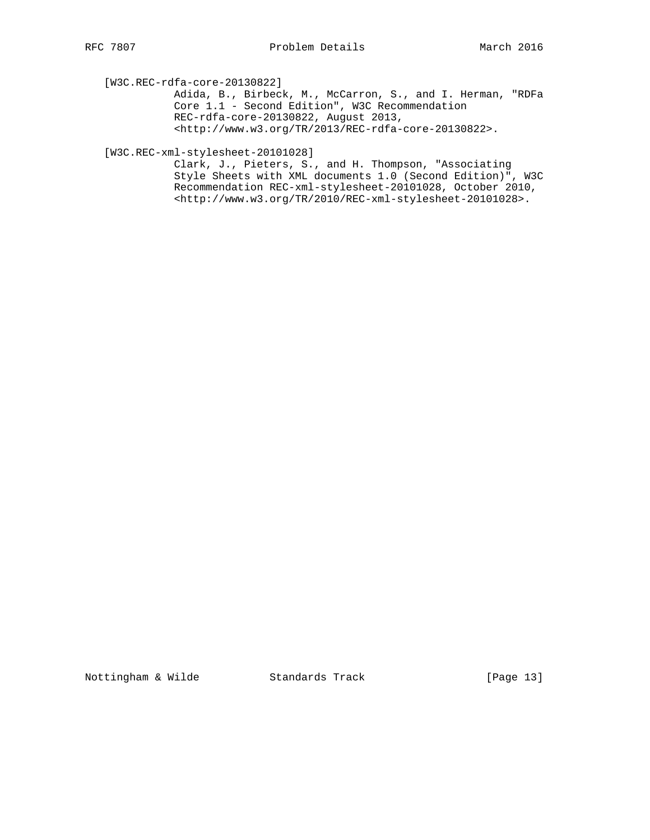[W3C.REC-rdfa-core-20130822]

 Adida, B., Birbeck, M., McCarron, S., and I. Herman, "RDFa Core 1.1 - Second Edition", W3C Recommendation REC-rdfa-core-20130822, August 2013, <http://www.w3.org/TR/2013/REC-rdfa-core-20130822>.

## [W3C.REC-xml-stylesheet-20101028]

 Clark, J., Pieters, S., and H. Thompson, "Associating Style Sheets with XML documents 1.0 (Second Edition)", W3C Recommendation REC-xml-stylesheet-20101028, October 2010, <http://www.w3.org/TR/2010/REC-xml-stylesheet-20101028>.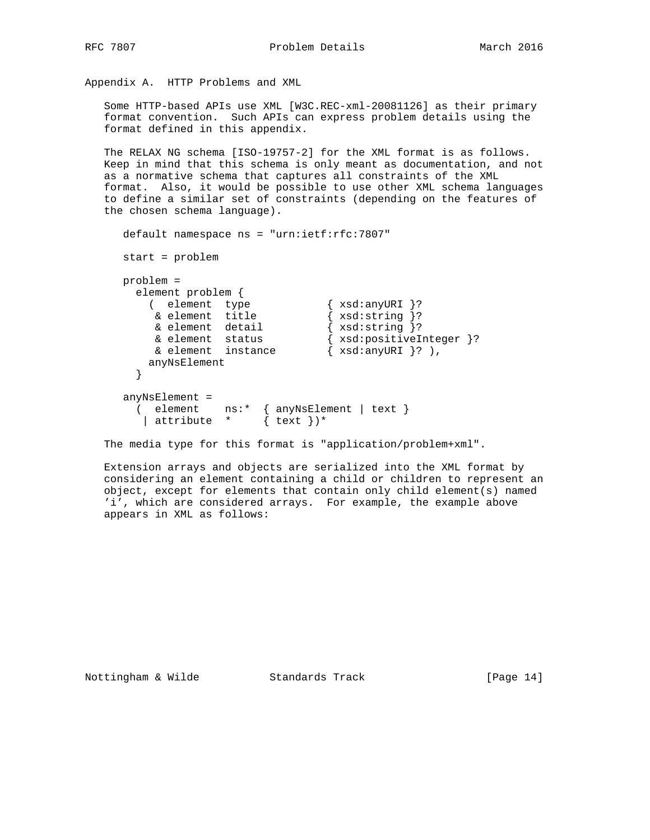Appendix A. HTTP Problems and XML

 Some HTTP-based APIs use XML [W3C.REC-xml-20081126] as their primary format convention. Such APIs can express problem details using the format defined in this appendix.

 The RELAX NG schema [ISO-19757-2] for the XML format is as follows. Keep in mind that this schema is only meant as documentation, and not as a normative schema that captures all constraints of the XML format. Also, it would be possible to use other XML schema languages to define a similar set of constraints (depending on the features of the chosen schema language).

```
 default namespace ns = "urn:ietf:rfc:7807"
     start = problem
     problem =
      element problem {
 ( element type { xsd:anyURI }?
 & element title { xsd:string }?
 & element detail { xsd:string }?
 & element status { xsd:positiveInteger }?
 & element instance { xsd:anyURI }? ),
        anyNsElement
       }
     anyNsElement =
 ( element ns:* { anyNsElement | text }
 | attribute * { text })*
```
The media type for this format is "application/problem+xml".

 Extension arrays and objects are serialized into the XML format by considering an element containing a child or children to represent an object, except for elements that contain only child element(s) named 'i', which are considered arrays. For example, the example above appears in XML as follows: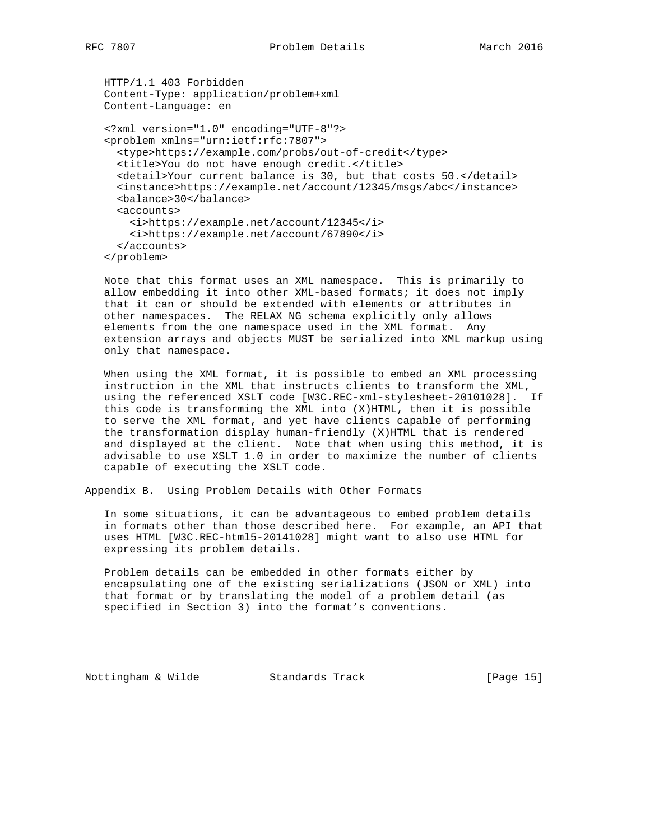```
 HTTP/1.1 403 Forbidden
 Content-Type: application/problem+xml
 Content-Language: en
 <?xml version="1.0" encoding="UTF-8"?>
 <problem xmlns="urn:ietf:rfc:7807">
   <type>https://example.com/probs/out-of-credit</type>
   <title>You do not have enough credit.</title>
   <detail>Your current balance is 30, but that costs 50.</detail>
   <instance>https://example.net/account/12345/msgs/abc</instance>
   <balance>30</balance>
   <accounts>
     <i>https://example.net/account/12345</i>
     <i>https://example.net/account/67890</i>
   </accounts>
 </problem>
```
 Note that this format uses an XML namespace. This is primarily to allow embedding it into other XML-based formats; it does not imply that it can or should be extended with elements or attributes in other namespaces. The RELAX NG schema explicitly only allows elements from the one namespace used in the XML format. Any extension arrays and objects MUST be serialized into XML markup using only that namespace.

 When using the XML format, it is possible to embed an XML processing instruction in the XML that instructs clients to transform the XML, using the referenced XSLT code [W3C.REC-xml-stylesheet-20101028]. If this code is transforming the XML into (X)HTML, then it is possible to serve the XML format, and yet have clients capable of performing the transformation display human-friendly (X)HTML that is rendered and displayed at the client. Note that when using this method, it is advisable to use XSLT 1.0 in order to maximize the number of clients capable of executing the XSLT code.

Appendix B. Using Problem Details with Other Formats

 In some situations, it can be advantageous to embed problem details in formats other than those described here. For example, an API that uses HTML [W3C.REC-html5-20141028] might want to also use HTML for expressing its problem details.

 Problem details can be embedded in other formats either by encapsulating one of the existing serializations (JSON or XML) into that format or by translating the model of a problem detail (as specified in Section 3) into the format's conventions.

Nottingham & Wilde Standards Track [Page 15]